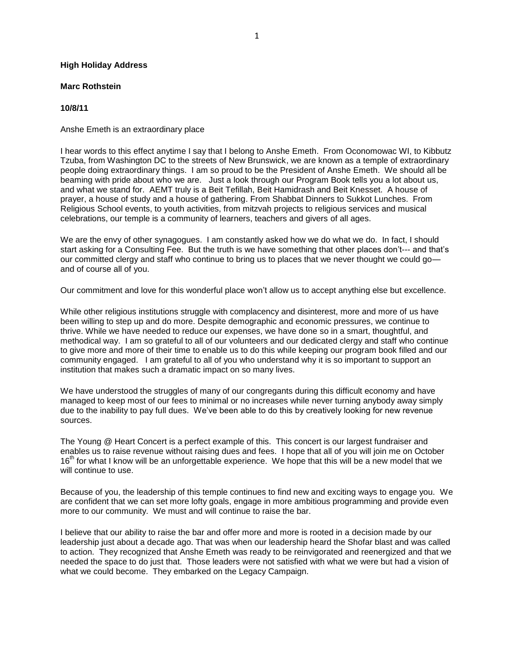## **High Holiday Address**

## **Marc Rothstein**

## **10/8/11**

Anshe Emeth is an extraordinary place

I hear words to this effect anytime I say that I belong to Anshe Emeth. From Oconomowac WI, to Kibbutz Tzuba, from Washington DC to the streets of New Brunswick, we are known as a temple of extraordinary people doing extraordinary things. I am so proud to be the President of Anshe Emeth. We should all be beaming with pride about who we are. Just a look through our Program Book tells you a lot about us, and what we stand for. AEMT truly is a Beit Tefillah, Beit Hamidrash and Beit Knesset. A house of prayer, a house of study and a house of gathering. From Shabbat Dinners to Sukkot Lunches. From Religious School events, to youth activities, from mitzvah projects to religious services and musical celebrations, our temple is a community of learners, teachers and givers of all ages.

We are the envy of other synagogues. I am constantly asked how we do what we do. In fact, I should start asking for a Consulting Fee. But the truth is we have something that other places don't--- and that's our committed clergy and staff who continue to bring us to places that we never thought we could go and of course all of you.

Our commitment and love for this wonderful place won't allow us to accept anything else but excellence.

While other religious institutions struggle with complacency and disinterest, more and more of us have been willing to step up and do more. Despite demographic and economic pressures, we continue to thrive. While we have needed to reduce our expenses, we have done so in a smart, thoughtful, and methodical way. I am so grateful to all of our volunteers and our dedicated clergy and staff who continue to give more and more of their time to enable us to do this while keeping our program book filled and our community engaged. I am grateful to all of you who understand why it is so important to support an institution that makes such a dramatic impact on so many lives.

We have understood the struggles of many of our congregants during this difficult economy and have managed to keep most of our fees to minimal or no increases while never turning anybody away simply due to the inability to pay full dues. We've been able to do this by creatively looking for new revenue sources.

The Young @ Heart Concert is a perfect example of this. This concert is our largest fundraiser and enables us to raise revenue without raising dues and fees. I hope that all of you will join me on October 16<sup>th</sup> for what I know will be an unforgettable experience. We hope that this will be a new model that we will continue to use.

Because of you, the leadership of this temple continues to find new and exciting ways to engage you. We are confident that we can set more lofty goals, engage in more ambitious programming and provide even more to our community. We must and will continue to raise the bar.

I believe that our ability to raise the bar and offer more and more is rooted in a decision made by our leadership just about a decade ago. That was when our leadership heard the Shofar blast and was called to action. They recognized that Anshe Emeth was ready to be reinvigorated and reenergized and that we needed the space to do just that. Those leaders were not satisfied with what we were but had a vision of what we could become. They embarked on the Legacy Campaign.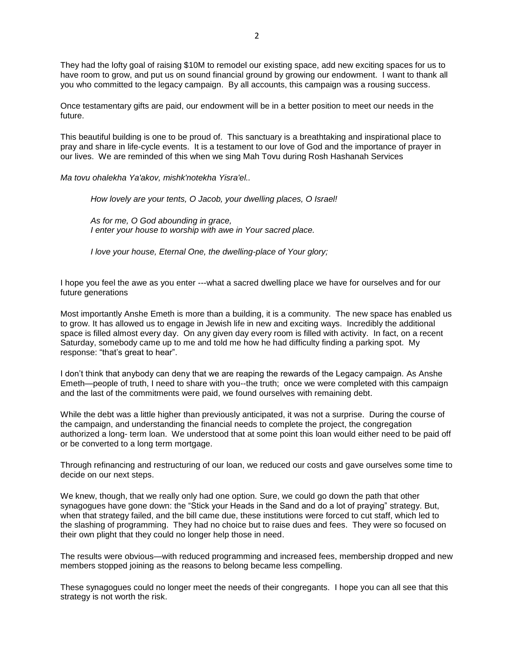They had the lofty goal of raising \$10M to remodel our existing space, add new exciting spaces for us to have room to grow, and put us on sound financial ground by growing our endowment. I want to thank all you who committed to the legacy campaign. By all accounts, this campaign was a rousing success.

Once testamentary gifts are paid, our endowment will be in a better position to meet our needs in the future.

This beautiful building is one to be proud of. This sanctuary is a breathtaking and inspirational place to pray and share in life-cycle events. It is a testament to our love of God and the importance of prayer in our lives. We are reminded of this when we sing Mah Tovu during Rosh Hashanah Services

*Ma tovu ohalekha Ya'akov, mishk'notekha Yisra'el..*

*How lovely are your tents, O Jacob, your dwelling places, O Israel!* 

*As for me, O God abounding in grace, I enter your house to worship with awe in Your sacred place.*

*I love your house, Eternal One, the dwelling-place of Your glory;*

I hope you feel the awe as you enter ---what a sacred dwelling place we have for ourselves and for our future generations

Most importantly Anshe Emeth is more than a building, it is a community. The new space has enabled us to grow. It has allowed us to engage in Jewish life in new and exciting ways. Incredibly the additional space is filled almost every day. On any given day every room is filled with activity. In fact, on a recent Saturday, somebody came up to me and told me how he had difficulty finding a parking spot. My response: "that's great to hear".

I don't think that anybody can deny that we are reaping the rewards of the Legacy campaign. As Anshe Emeth—people of truth, I need to share with you--the truth; once we were completed with this campaign and the last of the commitments were paid, we found ourselves with remaining debt.

While the debt was a little higher than previously anticipated, it was not a surprise. During the course of the campaign, and understanding the financial needs to complete the project, the congregation authorized a long- term loan. We understood that at some point this loan would either need to be paid off or be converted to a long term mortgage.

Through refinancing and restructuring of our loan, we reduced our costs and gave ourselves some time to decide on our next steps.

We knew, though, that we really only had one option. Sure, we could go down the path that other synagogues have gone down: the "Stick your Heads in the Sand and do a lot of praying" strategy. But, when that strategy failed, and the bill came due, these institutions were forced to cut staff, which led to the slashing of programming. They had no choice but to raise dues and fees. They were so focused on their own plight that they could no longer help those in need.

The results were obvious—with reduced programming and increased fees, membership dropped and new members stopped joining as the reasons to belong became less compelling.

These synagogues could no longer meet the needs of their congregants. I hope you can all see that this strategy is not worth the risk.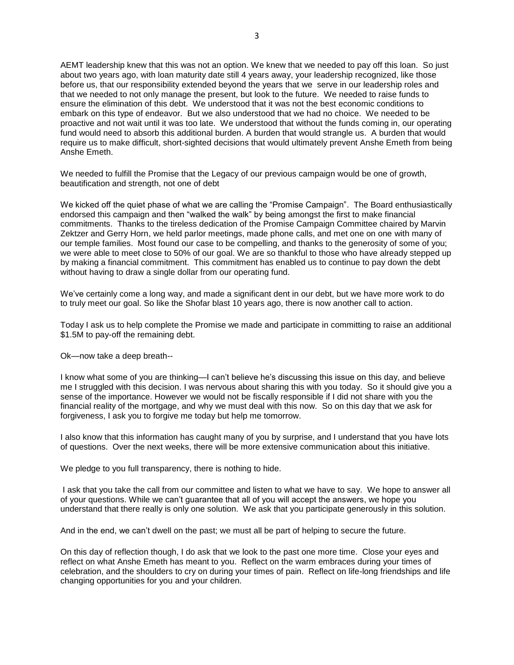AEMT leadership knew that this was not an option. We knew that we needed to pay off this loan. So just about two years ago, with loan maturity date still 4 years away, your leadership recognized, like those before us, that our responsibility extended beyond the years that we serve in our leadership roles and that we needed to not only manage the present, but look to the future. We needed to raise funds to ensure the elimination of this debt. We understood that it was not the best economic conditions to embark on this type of endeavor. But we also understood that we had no choice. We needed to be proactive and not wait until it was too late. We understood that without the funds coming in, our operating fund would need to absorb this additional burden. A burden that would strangle us. A burden that would require us to make difficult, short-sighted decisions that would ultimately prevent Anshe Emeth from being Anshe Emeth.

We needed to fulfill the Promise that the Legacy of our previous campaign would be one of growth, beautification and strength, not one of debt

We kicked off the quiet phase of what we are calling the "Promise Campaign". The Board enthusiastically endorsed this campaign and then "walked the walk" by being amongst the first to make financial commitments. Thanks to the tireless dedication of the Promise Campaign Committee chaired by Marvin Zektzer and Gerry Horn, we held parlor meetings, made phone calls, and met one on one with many of our temple families. Most found our case to be compelling, and thanks to the generosity of some of you; we were able to meet close to 50% of our goal. We are so thankful to those who have already stepped up by making a financial commitment. This commitment has enabled us to continue to pay down the debt without having to draw a single dollar from our operating fund.

We've certainly come a long way, and made a significant dent in our debt, but we have more work to do to truly meet our goal. So like the Shofar blast 10 years ago, there is now another call to action.

Today I ask us to help complete the Promise we made and participate in committing to raise an additional \$1.5M to pay-off the remaining debt.

Ok—now take a deep breath--

I know what some of you are thinking—I can't believe he's discussing this issue on this day, and believe me I struggled with this decision. I was nervous about sharing this with you today. So it should give you a sense of the importance. However we would not be fiscally responsible if I did not share with you the financial reality of the mortgage, and why we must deal with this now. So on this day that we ask for forgiveness, I ask you to forgive me today but help me tomorrow.

I also know that this information has caught many of you by surprise, and I understand that you have lots of questions. Over the next weeks, there will be more extensive communication about this initiative.

We pledge to you full transparency, there is nothing to hide.

I ask that you take the call from our committee and listen to what we have to say. We hope to answer all of your questions. While we can't guarantee that all of you will accept the answers, we hope you understand that there really is only one solution. We ask that you participate generously in this solution.

And in the end, we can't dwell on the past; we must all be part of helping to secure the future.

On this day of reflection though, I do ask that we look to the past one more time. Close your eyes and reflect on what Anshe Emeth has meant to you. Reflect on the warm embraces during your times of celebration, and the shoulders to cry on during your times of pain. Reflect on life-long friendships and life changing opportunities for you and your children.